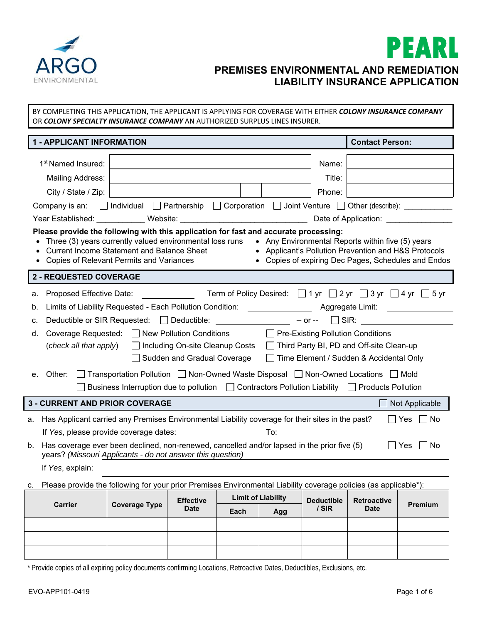



OR *COLONY SPECIALTY INSURANCE COMPANY* AN AUTHORIZED SURPLUS LINES INSURER. **1 - APPLICANT INFORMATION Contact Person:**  1<sup>st</sup> Named Insured:  $\vert$ Mailing Address: The Contract of the Contract of the Contract of Title: Title: City / State / Zip: Phone: Phone: Phone: Phone: Phone: Phone: Phone: Phone: Phone: Phone: Phone: Phone: Phone: Phone: Phone: Phone: Phone: Phone: Phone: Phone: Phone: Phone: Phone: Phone: Phone: Phone: Phone: Phone: Phone: Company is an:  $\Box$  Individual  $\Box$  Partnership  $\Box$  Corporation  $\Box$  Joint Venture  $\Box$  Other (describe): Year Established: \_\_\_\_\_\_\_\_\_\_\_ Website: \_\_\_\_\_\_\_\_\_\_\_\_\_\_\_\_\_\_\_\_\_\_\_\_\_\_\_\_\_ Date of Application: \_\_\_\_\_\_\_\_\_\_\_\_\_\_\_ **Please provide the following with this application for fast and accurate processing:** • Three (3) years currently valued environmental loss runs • Any Environmental Reports within five (5) years • Current Income Statement and Balance Sheet • Applicant's Pollution Prevention and H&S Protocols Copies of Relevant Permits and Variances Copies of expiring Dec Pages, Schedules and Endos **2 - REQUESTED COVERAGE**  a. Proposed Effective Date: Term of Policy Desired:  $\Box$  1 yr  $\Box$  2 yr  $\Box$  3 yr  $\Box$  4 yr  $\Box$  5 yr b. Limits of Liability Requested - Each Pollution Condition: \_\_\_\_\_\_\_\_\_\_\_\_\_\_\_\_\_\_\_\_ Aggregate Limit: \_\_\_\_\_\_\_\_\_\_\_ c. Deductible or SIR Requested:  $\Box$  Deductible:  $\Box$  -- or --  $\Box$  SIR: d. Coverage Requested: □ New Pollution Conditions □ Pre-Existing Pollution Conditions (*check all that apply*) □ Including On-site Cleanup Costs □ Third Party BI, PD and Off-site Clean-up  $\Box$  Sudden and Gradual Coverage  $\Box$  Time Element / Sudden & Accidental Only e. Other:  $\Box$  Transportation Pollution  $\Box$  Non-Owned Waste Disposal  $\Box$  Non-Owned Locations  $\Box$  Mold  $\Box$  Business Interruption due to pollution  $\Box$  Contractors Pollution Liability  $\Box$  Products Pollution **3 - CURRENT AND PRIOR COVERAGE AND SERVER AND APPLICABLE AND APPLICABLE AND APPLICABLE AND APPLICABLE** a. Has Applicant carried any Premises Environmental Liability coverage for their sites in the past?  $\Box$  Yes  $\Box$  No If *Yes*, please provide coverage dates: To: To: b. Has coverage ever been declined, non-renewed, cancelled and/or lapsed in the prior five (5) years? *(Missouri Applicants - do not answer this question)*  $\Box$  Yes  $\Box$  No If *Yes*, explain: c. Please provide the following for your prior Premises Environmental Liability coverage policies (as applicable\*): **Carrier Coverage Type Effective Date**  Limit of Liability | Deductible **/ SIR Retroactive Date Premium Each Agg** 

BY COMPLETING THIS APPLICATION, THE APPLICANT IS APPLYING FOR COVERAGE WITH EITHER *COLONY INSURANCE COMPANY*

\* Provide copies of all expiring policy documents confirming Locations, Retroactive Dates, Deductibles, Exclusions, etc.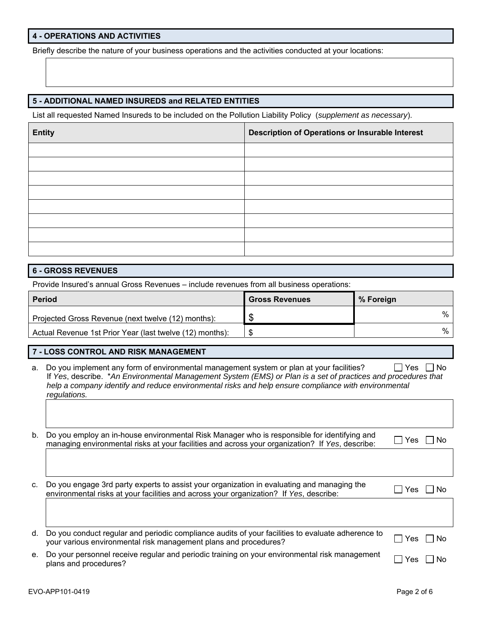## **4 - OPERATIONS AND ACTIVITIES**

Briefly describe the nature of your business operations and the activities conducted at your locations:

### **5 - ADDITIONAL NAMED INSUREDS and RELATED ENTITIES**

List all requested Named Insureds to be included on the Pollution Liability Policy (*supplement as necessary*).

| <b>Entity</b> | Description of Operations or Insurable Interest |
|---------------|-------------------------------------------------|
|               |                                                 |
|               |                                                 |
|               |                                                 |
|               |                                                 |
|               |                                                 |
|               |                                                 |
|               |                                                 |
|               |                                                 |

#### **6 - GROSS REVENUES**

Provide Insured's annual Gross Revenues – include revenues from all business operations:

| <b>Period</b>                                            | <b>Gross Revenues</b> | % Foreign |
|----------------------------------------------------------|-----------------------|-----------|
| Projected Gross Revenue (next twelve (12) months):       |                       | %         |
| Actual Revenue 1st Prior Year (last twelve (12) months): |                       | %         |

# **7 - LOSS CONTROL AND RISK MANAGEMENT**

a. Do you implement any form of environmental management system or plan at your facilities?  $\Box$  Yes  $\Box$  No If *Yes*, describe. \**An Environmental Management System (EMS) or Plan is a set of practices and procedures that help a company identify and reduce environmental risks and help ensure compliance with environmental regulations.*

| b. Do you employ an in-house environmental Risk Manager who is responsible for identifying and  | $\Box$ Yes $\Box$ No |
|-------------------------------------------------------------------------------------------------|----------------------|
| managing environmental risks at your facilities and across your organization? If Yes, describe: |                      |

| c.  Do you engage 3rd party experts to assist your organization in evaluating and managing the<br>environmental risks at your facilities and across your organization? If Yes, describe: | $\Box$ Yes $\Box$ No |
|------------------------------------------------------------------------------------------------------------------------------------------------------------------------------------------|----------------------|
|                                                                                                                                                                                          |                      |

| d. Do you conduct regular and periodic compliance audits of your facilities to evaluate adherence to<br>your various environmental risk management plans and procedures? | $\Box$ Yes $\Box$ No |
|--------------------------------------------------------------------------------------------------------------------------------------------------------------------------|----------------------|
| a De veur personnel reseive requier and periodic training on veur environmental rick menogement                                                                          |                      |

e. Do your personnel receive regular and periodic training on your environmental risk management  $\Box$  Yes  $\Box$  No plans and procedures?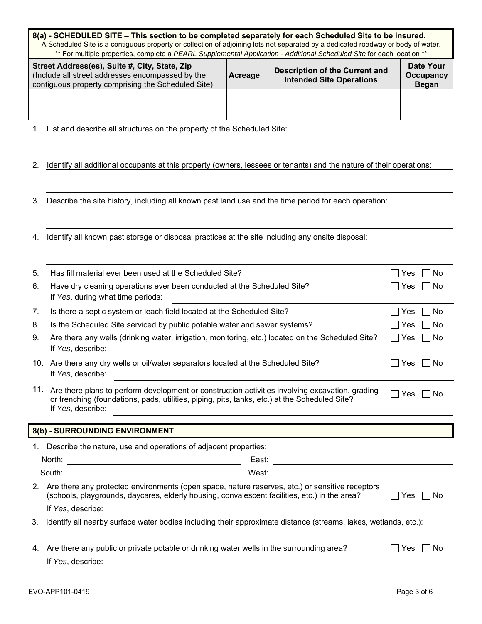| 8(a) - SCHEDULED SITE – This section to be completed separately for each Scheduled Site to be insured.<br>A Scheduled Site is a contiguous property or collection of adjoining lots not separated by a dedicated roadway or body of water.<br>** For multiple properties, complete a PEARL Supplemental Application - Additional Scheduled Site for each location ** |                                                                                                                                                                                                                                                                                                        |       |                                                                                                                                                                                                                                      |                            |  |  |  |  |  |
|----------------------------------------------------------------------------------------------------------------------------------------------------------------------------------------------------------------------------------------------------------------------------------------------------------------------------------------------------------------------|--------------------------------------------------------------------------------------------------------------------------------------------------------------------------------------------------------------------------------------------------------------------------------------------------------|-------|--------------------------------------------------------------------------------------------------------------------------------------------------------------------------------------------------------------------------------------|----------------------------|--|--|--|--|--|
|                                                                                                                                                                                                                                                                                                                                                                      | <b>Date Your</b><br>Street Address(es), Suite #, City, State, Zip<br><b>Description of the Current and</b><br>(Include all street addresses encompassed by the<br>Acreage<br><b>Occupancy</b><br><b>Intended Site Operations</b><br>contiguous property comprising the Scheduled Site)<br><b>Began</b> |       |                                                                                                                                                                                                                                      |                            |  |  |  |  |  |
|                                                                                                                                                                                                                                                                                                                                                                      |                                                                                                                                                                                                                                                                                                        |       |                                                                                                                                                                                                                                      |                            |  |  |  |  |  |
| 1.                                                                                                                                                                                                                                                                                                                                                                   | List and describe all structures on the property of the Scheduled Site:                                                                                                                                                                                                                                |       |                                                                                                                                                                                                                                      |                            |  |  |  |  |  |
|                                                                                                                                                                                                                                                                                                                                                                      |                                                                                                                                                                                                                                                                                                        |       |                                                                                                                                                                                                                                      |                            |  |  |  |  |  |
| 2.                                                                                                                                                                                                                                                                                                                                                                   | Identify all additional occupants at this property (owners, lessees or tenants) and the nature of their operations:                                                                                                                                                                                    |       |                                                                                                                                                                                                                                      |                            |  |  |  |  |  |
|                                                                                                                                                                                                                                                                                                                                                                      |                                                                                                                                                                                                                                                                                                        |       |                                                                                                                                                                                                                                      |                            |  |  |  |  |  |
| 3.                                                                                                                                                                                                                                                                                                                                                                   | Describe the site history, including all known past land use and the time period for each operation:                                                                                                                                                                                                   |       |                                                                                                                                                                                                                                      |                            |  |  |  |  |  |
|                                                                                                                                                                                                                                                                                                                                                                      |                                                                                                                                                                                                                                                                                                        |       |                                                                                                                                                                                                                                      |                            |  |  |  |  |  |
| 4.                                                                                                                                                                                                                                                                                                                                                                   | Identify all known past storage or disposal practices at the site including any onsite disposal:                                                                                                                                                                                                       |       |                                                                                                                                                                                                                                      |                            |  |  |  |  |  |
|                                                                                                                                                                                                                                                                                                                                                                      |                                                                                                                                                                                                                                                                                                        |       |                                                                                                                                                                                                                                      |                            |  |  |  |  |  |
| 5.                                                                                                                                                                                                                                                                                                                                                                   | Has fill material ever been used at the Scheduled Site?                                                                                                                                                                                                                                                |       |                                                                                                                                                                                                                                      | No<br>Yes                  |  |  |  |  |  |
| 6.                                                                                                                                                                                                                                                                                                                                                                   | Have dry cleaning operations ever been conducted at the Scheduled Site?<br>If Yes, during what time periods:                                                                                                                                                                                           |       |                                                                                                                                                                                                                                      | Yes<br>∐ No<br>$\sim$ 1    |  |  |  |  |  |
| 7.                                                                                                                                                                                                                                                                                                                                                                   | Is there a septic system or leach field located at the Scheduled Site?                                                                                                                                                                                                                                 |       |                                                                                                                                                                                                                                      | ∣No<br>Yes                 |  |  |  |  |  |
| 8.                                                                                                                                                                                                                                                                                                                                                                   | Is the Scheduled Site serviced by public potable water and sewer systems?                                                                                                                                                                                                                              |       |                                                                                                                                                                                                                                      | No<br>Yes                  |  |  |  |  |  |
| 9.                                                                                                                                                                                                                                                                                                                                                                   | Are there any wells (drinking water, irrigation, monitoring, etc.) located on the Scheduled Site?<br>If Yes, describe:                                                                                                                                                                                 |       |                                                                                                                                                                                                                                      | ∣No<br>Yes<br>$\mathbf{I}$ |  |  |  |  |  |
|                                                                                                                                                                                                                                                                                                                                                                      | 10. Are there any dry wells or oil/water separators located at the Scheduled Site?<br>If Yes, describe:                                                                                                                                                                                                |       |                                                                                                                                                                                                                                      | Yes<br>  No                |  |  |  |  |  |
|                                                                                                                                                                                                                                                                                                                                                                      | 11. Are there plans to perform development or construction activities involving excavation, grading<br>Yes<br>∐ No<br>or trenching (foundations, pads, utilities, piping, pits, tanks, etc.) at the Scheduled Site?<br>If Yes, describe:                                                               |       |                                                                                                                                                                                                                                      |                            |  |  |  |  |  |
|                                                                                                                                                                                                                                                                                                                                                                      | 8(b) - SURROUNDING ENVIRONMENT                                                                                                                                                                                                                                                                         |       |                                                                                                                                                                                                                                      |                            |  |  |  |  |  |
|                                                                                                                                                                                                                                                                                                                                                                      | 1. Describe the nature, use and operations of adjacent properties:                                                                                                                                                                                                                                     |       |                                                                                                                                                                                                                                      |                            |  |  |  |  |  |
|                                                                                                                                                                                                                                                                                                                                                                      | North:                                                                                                                                                                                                                                                                                                 |       |                                                                                                                                                                                                                                      |                            |  |  |  |  |  |
|                                                                                                                                                                                                                                                                                                                                                                      | South:                                                                                                                                                                                                                                                                                                 | West: | <u>and the state of the state of the state of the state of the state of the state of the state of the state of the state of the state of the state of the state of the state of the state of the state of the state of the state</u> |                            |  |  |  |  |  |
|                                                                                                                                                                                                                                                                                                                                                                      | 2. Are there any protected environments (open space, nature reserves, etc.) or sensitive receptors<br>(schools, playgrounds, daycares, elderly housing, convalescent facilities, etc.) in the area?<br>If Yes, describe:<br><u> 1980 - Johann Barn, amerikansk politiker (</u>                         |       |                                                                                                                                                                                                                                      | Yes<br>l INo               |  |  |  |  |  |
| 3.                                                                                                                                                                                                                                                                                                                                                                   | Identify all nearby surface water bodies including their approximate distance (streams, lakes, wetlands, etc.):                                                                                                                                                                                        |       |                                                                                                                                                                                                                                      |                            |  |  |  |  |  |
| 4.                                                                                                                                                                                                                                                                                                                                                                   | Are there any public or private potable or drinking water wells in the surrounding area?<br>If Yes, describe:<br><u> 1980 - Johann Barbara, martxa alemaniar amerikan a</u>                                                                                                                            |       |                                                                                                                                                                                                                                      | $\Box$ No<br>Yes           |  |  |  |  |  |
|                                                                                                                                                                                                                                                                                                                                                                      |                                                                                                                                                                                                                                                                                                        |       |                                                                                                                                                                                                                                      |                            |  |  |  |  |  |

 $\overline{1}$ 

1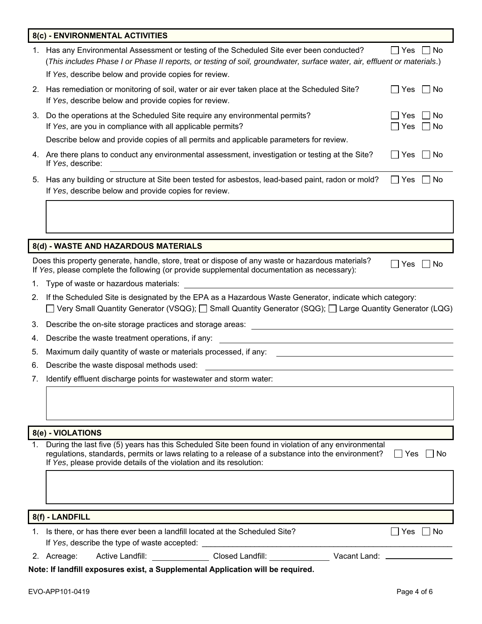|    | 8(c) - ENVIRONMENTAL ACTIVITIES                                                                                                                                                                                                                                                  |                                      |
|----|----------------------------------------------------------------------------------------------------------------------------------------------------------------------------------------------------------------------------------------------------------------------------------|--------------------------------------|
|    | 1. Has any Environmental Assessment or testing of the Scheduled Site ever been conducted?<br>(This includes Phase I or Phase II reports, or testing of soil, groundwater, surface water, air, effluent or materials.)<br>If Yes, describe below and provide copies for review.   | $\Box$ Yes $\Box$ No                 |
| 2. | Has remediation or monitoring of soil, water or air ever taken place at the Scheduled Site?<br>If Yes, describe below and provide copies for review.                                                                                                                             | l No<br>Yes                          |
| 3. | Do the operations at the Scheduled Site require any environmental permits?<br>If Yes, are you in compliance with all applicable permits?                                                                                                                                         | No<br>Yes<br>$\Box$ Yes<br>$\Box$ No |
|    | Describe below and provide copies of all permits and applicable parameters for review.                                                                                                                                                                                           |                                      |
|    | 4. Are there plans to conduct any environmental assessment, investigation or testing at the Site?<br>If Yes, describe:                                                                                                                                                           | ∐ Yes<br>$\Box$ No                   |
|    | 5. Has any building or structure at Site been tested for asbestos, lead-based paint, radon or mold?<br>If Yes, describe below and provide copies for review.                                                                                                                     | $\Box$ Yes<br>No                     |
|    |                                                                                                                                                                                                                                                                                  |                                      |
|    |                                                                                                                                                                                                                                                                                  |                                      |
|    | 8(d) - WASTE AND HAZARDOUS MATERIALS                                                                                                                                                                                                                                             |                                      |
|    | Does this property generate, handle, store, treat or dispose of any waste or hazardous materials?<br>If Yes, please complete the following (or provide supplemental documentation as necessary):                                                                                 | Yes<br>No                            |
| 1. | Type of waste or hazardous materials:                                                                                                                                                                                                                                            |                                      |
| 2. | If the Scheduled Site is designated by the EPA as a Hazardous Waste Generator, indicate which category:<br>$\Box$ Very Small Quantity Generator (VSQG); $\Box$ Small Quantity Generator (SQG); $\Box$ Large Quantity Generator (LQG)                                             |                                      |
| 3. |                                                                                                                                                                                                                                                                                  |                                      |
| 4. | Describe the waste treatment operations, if any:                                                                                                                                                                                                                                 |                                      |
| 5. | Maximum daily quantity of waste or materials processed, if any:                                                                                                                                                                                                                  |                                      |
| 6. | Describe the waste disposal methods used:                                                                                                                                                                                                                                        |                                      |
|    | 7. Identify effluent discharge points for wastewater and storm water:                                                                                                                                                                                                            |                                      |
|    |                                                                                                                                                                                                                                                                                  |                                      |
|    |                                                                                                                                                                                                                                                                                  |                                      |
|    | 8(e) - VIOLATIONS                                                                                                                                                                                                                                                                |                                      |
| 1. | During the last five (5) years has this Scheduled Site been found in violation of any environmental<br>regulations, standards, permits or laws relating to a release of a substance into the environment?<br>If Yes, please provide details of the violation and its resolution: | $\mathsf{L}$<br>Yes<br>No            |
|    |                                                                                                                                                                                                                                                                                  |                                      |
|    | 8(f) - LANDFILL                                                                                                                                                                                                                                                                  |                                      |
|    | 1. Is there, or has there ever been a landfill located at the Scheduled Site?<br>If Yes, describe the type of waste accepted: ___________________________________                                                                                                                | $\Box$ Yes<br>$\vert$ $\vert$ No     |
|    | <b>Active Landfill:</b><br>2. Acreage:                                                                                                                                                                                                                                           |                                      |
|    |                                                                                                                                                                                                                                                                                  |                                      |

**Note: If landfill exposures exist, a Supplemental Application will be required.**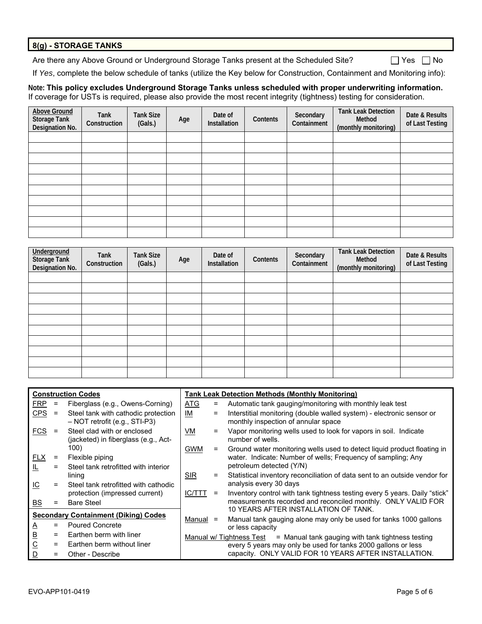### **8(g) - STORAGE TANKS**

Are there any Above Ground or Underground Storage Tanks present at the Scheduled Site? <br>
No

If *Yes*, complete the below schedule of tanks (utilize the Key below for Construction, Containment and Monitoring info):

#### **Note: This policy excludes Underground Storage Tanks unless scheduled with proper underwriting information.** If coverage for USTs is required, please also provide the most recent integrity (tightness) testing for consideration.

| <b>Above Ground</b><br><b>Storage Tank</b><br>Designation No. | Tank<br>Construction | <b>Tank Size</b><br>(Gals.) | Age | Date of<br>Installation | Contents | Secondary<br>Containment | <b>Tank Leak Detection</b><br>Method<br>(monthly monitoring) | Date & Results<br>of Last Testing |
|---------------------------------------------------------------|----------------------|-----------------------------|-----|-------------------------|----------|--------------------------|--------------------------------------------------------------|-----------------------------------|
|                                                               |                      |                             |     |                         |          |                          |                                                              |                                   |
|                                                               |                      |                             |     |                         |          |                          |                                                              |                                   |
|                                                               |                      |                             |     |                         |          |                          |                                                              |                                   |
|                                                               |                      |                             |     |                         |          |                          |                                                              |                                   |
|                                                               |                      |                             |     |                         |          |                          |                                                              |                                   |
|                                                               |                      |                             |     |                         |          |                          |                                                              |                                   |
|                                                               |                      |                             |     |                         |          |                          |                                                              |                                   |
|                                                               |                      |                             |     |                         |          |                          |                                                              |                                   |
|                                                               |                      |                             |     |                         |          |                          |                                                              |                                   |
|                                                               |                      |                             |     |                         |          |                          |                                                              |                                   |

| Underground<br><b>Storage Tank</b><br>Designation No. | Tank<br>Construction | <b>Tank Size</b><br>(Gals.) | Age | Date of<br>Installation | Contents | Secondary<br>Containment | <b>Tank Leak Detection</b><br>Method<br>(monthly monitoring) | Date & Results<br>of Last Testing |
|-------------------------------------------------------|----------------------|-----------------------------|-----|-------------------------|----------|--------------------------|--------------------------------------------------------------|-----------------------------------|
|                                                       |                      |                             |     |                         |          |                          |                                                              |                                   |
|                                                       |                      |                             |     |                         |          |                          |                                                              |                                   |
|                                                       |                      |                             |     |                         |          |                          |                                                              |                                   |
|                                                       |                      |                             |     |                         |          |                          |                                                              |                                   |
|                                                       |                      |                             |     |                         |          |                          |                                                              |                                   |
|                                                       |                      |                             |     |                         |          |                          |                                                              |                                   |
|                                                       |                      |                             |     |                         |          |                          |                                                              |                                   |
|                                                       |                      |                             |     |                         |          |                          |                                                              |                                   |
|                                                       |                      |                             |     |                         |          |                          |                                                              |                                   |
|                                                       |                      |                             |     |                         |          |                          |                                                              |                                   |

| <b>Construction Codes</b> |     |                                                                        |            |     | <b>Tank Leak Detection Methods (Monthly Monitoring)</b>                                                      |
|---------------------------|-----|------------------------------------------------------------------------|------------|-----|--------------------------------------------------------------------------------------------------------------|
| <b>FRP</b>                | $=$ | Fiberglass (e.g., Owens-Corning)                                       | <b>ATG</b> | =   | Automatic tank gauging/monitoring with monthly leak test                                                     |
| CPS                       | $=$ | Steel tank with cathodic protection<br>$-$ NOT retrofit (e.g., STI-P3) | IM         | $=$ | Interstitial monitoring (double walled system) - electronic sensor or<br>monthly inspection of annular space |
| <b>FCS</b>                |     | Steel clad with or enclosed<br>(jacketed) in fiberglass (e.g., Act-    | VM         |     | Vapor monitoring wells used to look for vapors in soil. Indicate<br>number of wells.                         |
|                           |     | 100)                                                                   | <b>GWM</b> | Ξ   | Ground water monitoring wells used to detect liquid product floating in                                      |
| <b>FLX</b>                | Ξ   | Flexible piping                                                        |            |     | water. Indicate: Number of wells; Frequency of sampling; Any                                                 |
| 止                         | $=$ | Steel tank retrofitted with interior                                   |            |     | petroleum detected (Y/N)                                                                                     |
|                           |     | lining                                                                 | <b>SIR</b> | Ξ.  | Statistical inventory reconciliation of data sent to an outside vendor for                                   |
| IС                        | $=$ | Steel tank retrofitted with cathodic                                   |            |     | analysis every 30 days                                                                                       |
|                           |     | protection (impressed current)                                         | IC/TTT     | $=$ | Inventory control with tank tightness testing every 5 years. Daily "stick"                                   |
| <u>BS</u>                 | =   | <b>Bare Steel</b>                                                      |            |     | measurements recorded and reconciled monthly. ONLY VALID FOR                                                 |
|                           |     | <b>Secondary Containment (Diking) Codes</b>                            |            |     | 10 YEARS AFTER INSTALLATION OF TANK.                                                                         |
| Δ                         | $=$ | <b>Poured Concrete</b>                                                 | Manual     | Ξ   | Manual tank gauging alone may only be used for tanks 1000 gallons<br>or less capacity                        |
| <u>B</u>                  | $=$ | Earthen berm with liner                                                |            |     | Manual w/ Tightness Test $=$ Manual tank gauging with tank tightness testing                                 |
| $\overline{C}$            | $=$ | Earthen berm without liner                                             |            |     | every 5 years may only be used for tanks 2000 gallons or less                                                |
| D                         | $=$ | Other - Describe                                                       |            |     | capacity. ONLY VALID FOR 10 YEARS AFTER INSTALLATION.                                                        |